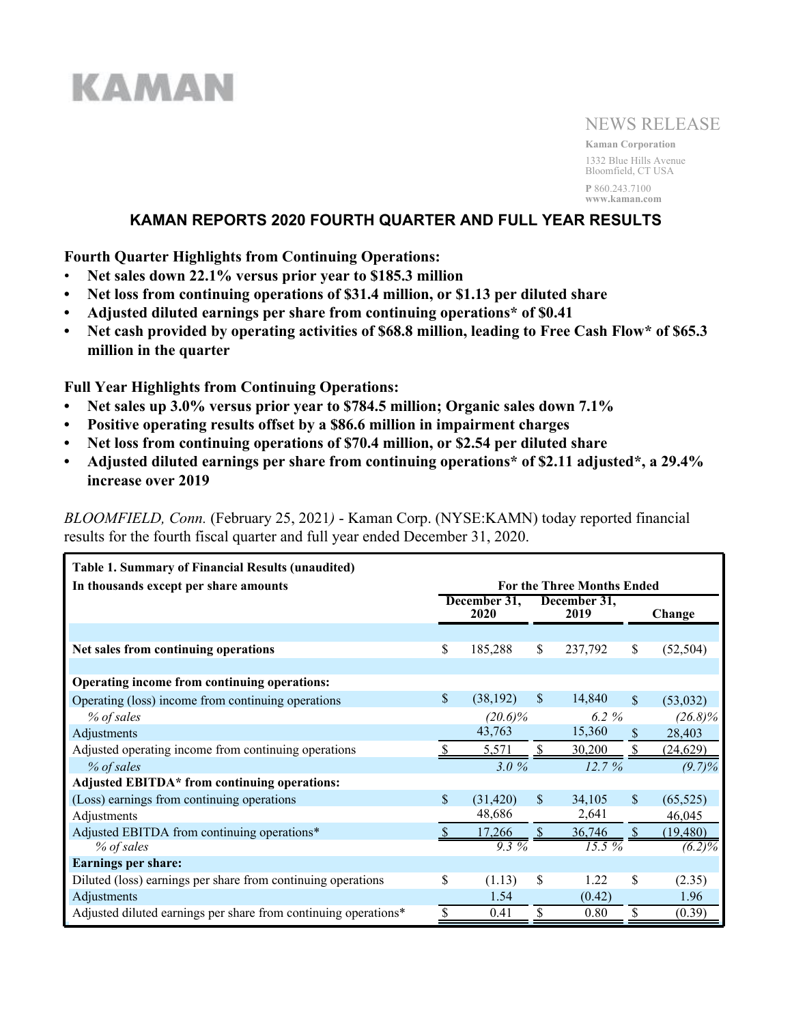# KAMAN

# NEWS RELEASE

**Kaman Corporation** 1332 Blue Hills Avenue Bloomfield, CT USA **P** 860.243.7100 **www.kaman.com**

# **KAMAN REPORTS 2020 FOURTH QUARTER AND FULL YEAR RESULTS**

**Fourth Quarter Highlights from Continuing Operations:**

- **Net sales down 22.1% versus prior year to \$185.3 million**
- **• Net loss from continuing operations of \$31.4 million, or \$1.13 per diluted share**
- **• Adjusted diluted earnings per share from continuing operations\* of \$0.41**
- **• Net cash provided by operating activities of \$68.8 million, leading to Free Cash Flow\* of \$65.3 million in the quarter**

**Full Year Highlights from Continuing Operations:**

- **• Net sales up 3.0% versus prior year to \$784.5 million; Organic sales down 7.1%**
- **• Positive operating results offset by a \$86.6 million in impairment charges**
- **• Net loss from continuing operations of \$70.4 million, or \$2.54 per diluted share**
- **• Adjusted diluted earnings per share from continuing operations\* of \$2.11 adjusted\*, a 29.4% increase over 2019**

*BLOOMFIELD, Conn.* (February 25, 2021*)* - Kaman Corp. (NYSE:KAMN) today reported financial results for the fourth fiscal quarter and full year ended December 31, 2020.

| Table 1. Summary of Financial Results (unaudited)               |                    |                      |               |                                   |                    |            |
|-----------------------------------------------------------------|--------------------|----------------------|---------------|-----------------------------------|--------------------|------------|
| In thousands except per share amounts                           |                    |                      |               | <b>For the Three Months Ended</b> |                    |            |
|                                                                 |                    | December 31,<br>2020 |               | December 31,<br>2019              |                    | Change     |
|                                                                 |                    |                      |               |                                   |                    |            |
| Net sales from continuing operations                            | \$                 | 185,288              | \$            | 237,792                           | \$                 | (52, 504)  |
|                                                                 |                    |                      |               |                                   |                    |            |
| Operating income from continuing operations:                    |                    |                      |               |                                   |                    |            |
| Operating (loss) income from continuing operations              | $\mathbf{\hat{S}}$ | (38, 192)            | $\mathcal{S}$ | 14,840                            | $\mathbf{\hat{S}}$ | (53,032)   |
| % of sales                                                      |                    | $(20.6)\%$           |               | 6.2 %                             |                    | $(26.8)\%$ |
| Adjustments                                                     |                    | 43,763               |               | 15,360                            | \$                 | 28,403     |
| Adjusted operating income from continuing operations            |                    | 5.571                |               | 30,200                            |                    | (24, 629)  |
| % of sales                                                      |                    | 3.0%                 |               | 12.7%                             |                    | $(9.7)\%$  |
| Adjusted EBITDA* from continuing operations:                    |                    |                      |               |                                   |                    |            |
| (Loss) earnings from continuing operations                      | \$                 | (31, 420)            | \$.           | 34,105                            | <sup>\$</sup>      | (65, 525)  |
| Adjustments                                                     |                    | 48,686               |               | 2,641                             |                    | 46,045     |
| Adjusted EBITDA from continuing operations*                     |                    | 17,266               |               | 36,746                            |                    | (19, 480)  |
| % of sales                                                      |                    | $9.3\%$              |               | $15.5\%$                          |                    | $(6.2)\%$  |
| <b>Earnings per share:</b>                                      |                    |                      |               |                                   |                    |            |
| Diluted (loss) earnings per share from continuing operations    | \$                 | (1.13)               | \$            | 1.22                              | \$                 | (2.35)     |
| Adjustments                                                     |                    | 1.54                 |               | (0.42)                            |                    | 1.96       |
| Adjusted diluted earnings per share from continuing operations* |                    | 0.41                 | \$            | 0.80                              | \$                 | (0.39)     |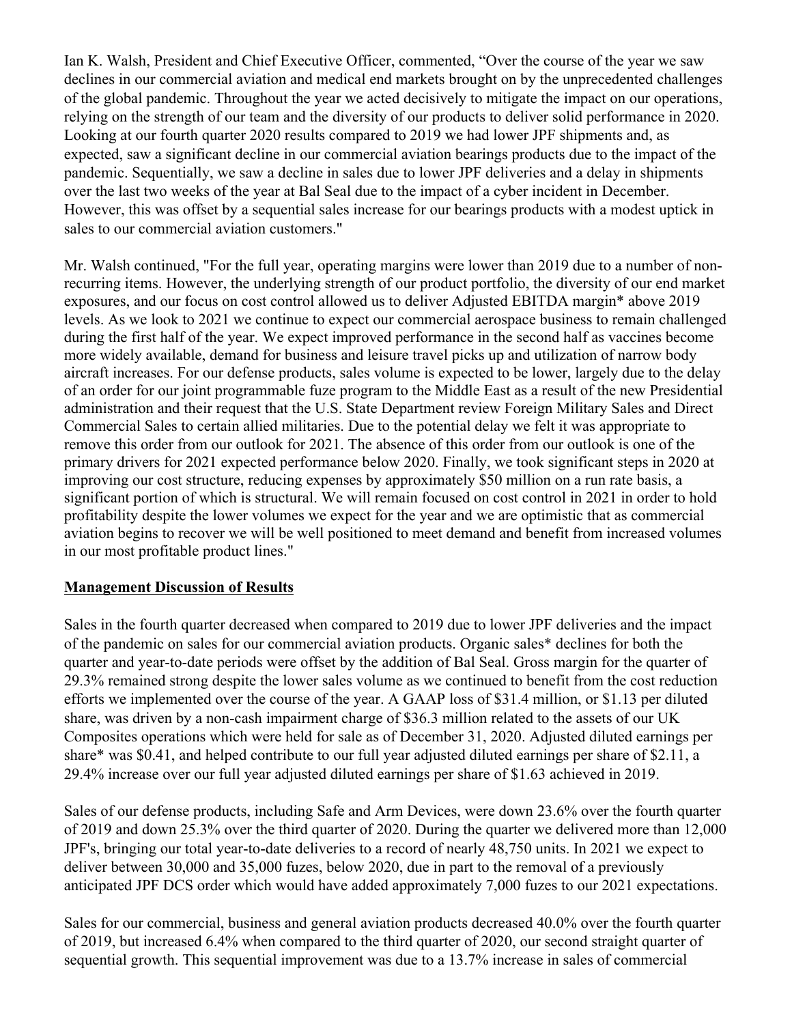Ian K. Walsh, President and Chief Executive Officer, commented, "Over the course of the year we saw declines in our commercial aviation and medical end markets brought on by the unprecedented challenges of the global pandemic. Throughout the year we acted decisively to mitigate the impact on our operations, relying on the strength of our team and the diversity of our products to deliver solid performance in 2020. Looking at our fourth quarter 2020 results compared to 2019 we had lower JPF shipments and, as expected, saw a significant decline in our commercial aviation bearings products due to the impact of the pandemic. Sequentially, we saw a decline in sales due to lower JPF deliveries and a delay in shipments over the last two weeks of the year at Bal Seal due to the impact of a cyber incident in December. However, this was offset by a sequential sales increase for our bearings products with a modest uptick in sales to our commercial aviation customers."

Mr. Walsh continued, "For the full year, operating margins were lower than 2019 due to a number of nonrecurring items. However, the underlying strength of our product portfolio, the diversity of our end market exposures, and our focus on cost control allowed us to deliver Adjusted EBITDA margin\* above 2019 levels. As we look to 2021 we continue to expect our commercial aerospace business to remain challenged during the first half of the year. We expect improved performance in the second half as vaccines become more widely available, demand for business and leisure travel picks up and utilization of narrow body aircraft increases. For our defense products, sales volume is expected to be lower, largely due to the delay of an order for our joint programmable fuze program to the Middle East as a result of the new Presidential administration and their request that the U.S. State Department review Foreign Military Sales and Direct Commercial Sales to certain allied militaries. Due to the potential delay we felt it was appropriate to remove this order from our outlook for 2021. The absence of this order from our outlook is one of the primary drivers for 2021 expected performance below 2020. Finally, we took significant steps in 2020 at improving our cost structure, reducing expenses by approximately \$50 million on a run rate basis, a significant portion of which is structural. We will remain focused on cost control in 2021 in order to hold profitability despite the lower volumes we expect for the year and we are optimistic that as commercial aviation begins to recover we will be well positioned to meet demand and benefit from increased volumes in our most profitable product lines."

# **Management Discussion of Results**

Sales in the fourth quarter decreased when compared to 2019 due to lower JPF deliveries and the impact of the pandemic on sales for our commercial aviation products. Organic sales\* declines for both the quarter and year-to-date periods were offset by the addition of Bal Seal. Gross margin for the quarter of 29.3% remained strong despite the lower sales volume as we continued to benefit from the cost reduction efforts we implemented over the course of the year. A GAAP loss of \$31.4 million, or \$1.13 per diluted share, was driven by a non-cash impairment charge of \$36.3 million related to the assets of our UK Composites operations which were held for sale as of December 31, 2020. Adjusted diluted earnings per share\* was \$0.41, and helped contribute to our full year adjusted diluted earnings per share of \$2.11, a 29.4% increase over our full year adjusted diluted earnings per share of \$1.63 achieved in 2019.

Sales of our defense products, including Safe and Arm Devices, were down 23.6% over the fourth quarter of 2019 and down 25.3% over the third quarter of 2020. During the quarter we delivered more than 12,000 JPF's, bringing our total year-to-date deliveries to a record of nearly 48,750 units. In 2021 we expect to deliver between 30,000 and 35,000 fuzes, below 2020, due in part to the removal of a previously anticipated JPF DCS order which would have added approximately 7,000 fuzes to our 2021 expectations.

Sales for our commercial, business and general aviation products decreased 40.0% over the fourth quarter of 2019, but increased 6.4% when compared to the third quarter of 2020, our second straight quarter of sequential growth. This sequential improvement was due to a 13.7% increase in sales of commercial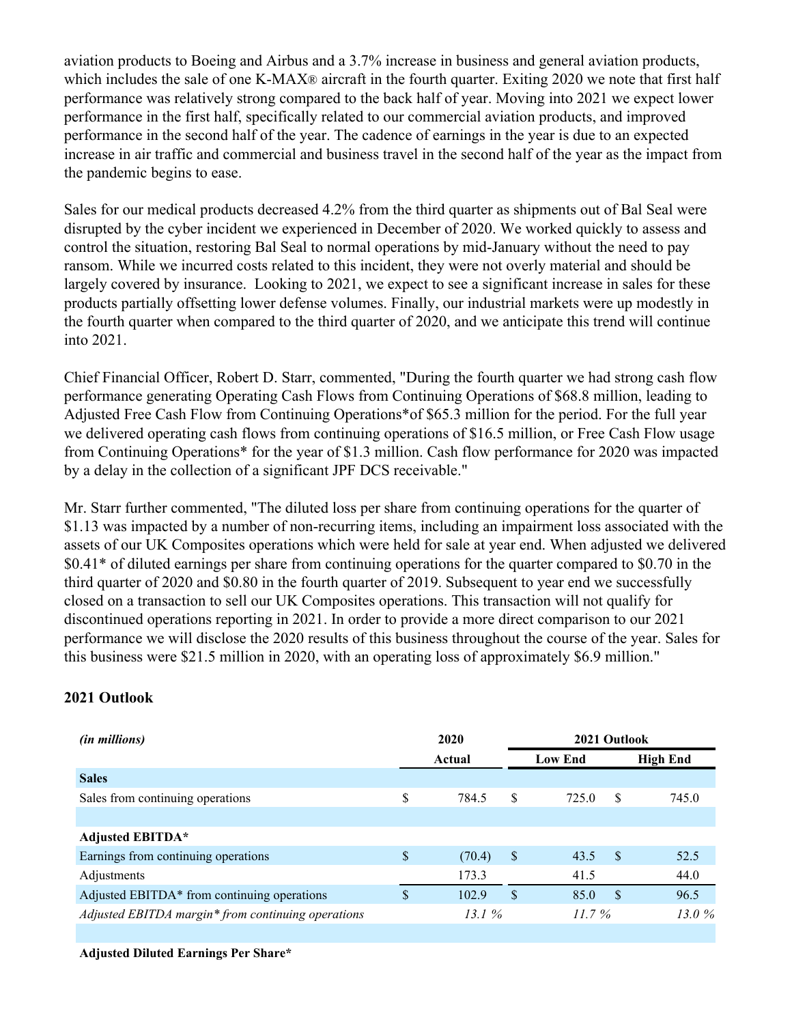aviation products to Boeing and Airbus and a 3.7% increase in business and general aviation products, which includes the sale of one K-MAX® aircraft in the fourth quarter. Exiting 2020 we note that first half performance was relatively strong compared to the back half of year. Moving into 2021 we expect lower performance in the first half, specifically related to our commercial aviation products, and improved performance in the second half of the year. The cadence of earnings in the year is due to an expected increase in air traffic and commercial and business travel in the second half of the year as the impact from the pandemic begins to ease.

Sales for our medical products decreased 4.2% from the third quarter as shipments out of Bal Seal were disrupted by the cyber incident we experienced in December of 2020. We worked quickly to assess and control the situation, restoring Bal Seal to normal operations by mid-January without the need to pay ransom. While we incurred costs related to this incident, they were not overly material and should be largely covered by insurance. Looking to 2021, we expect to see a significant increase in sales for these products partially offsetting lower defense volumes. Finally, our industrial markets were up modestly in the fourth quarter when compared to the third quarter of 2020, and we anticipate this trend will continue into 2021.

Chief Financial Officer, Robert D. Starr, commented, "During the fourth quarter we had strong cash flow performance generating Operating Cash Flows from Continuing Operations of \$68.8 million, leading to Adjusted Free Cash Flow from Continuing Operations\*of \$65.3 million for the period. For the full year we delivered operating cash flows from continuing operations of \$16.5 million, or Free Cash Flow usage from Continuing Operations\* for the year of \$1.3 million. Cash flow performance for 2020 was impacted by a delay in the collection of a significant JPF DCS receivable."

Mr. Starr further commented, "The diluted loss per share from continuing operations for the quarter of \$1.13 was impacted by a number of non-recurring items, including an impairment loss associated with the assets of our UK Composites operations which were held for sale at year end. When adjusted we delivered \$0.41\* of diluted earnings per share from continuing operations for the quarter compared to \$0.70 in the third quarter of 2020 and \$0.80 in the fourth quarter of 2019. Subsequent to year end we successfully closed on a transaction to sell our UK Composites operations. This transaction will not qualify for discontinued operations reporting in 2021. In order to provide a more direct comparison to our 2021 performance we will disclose the 2020 results of this business throughout the course of the year. Sales for this business were \$21.5 million in 2020, with an operating loss of approximately \$6.9 million."

# **2021 Outlook**

| <i>(in millions)</i>                               | 2020 |        |              | 2021 Outlook   |          |                 |
|----------------------------------------------------|------|--------|--------------|----------------|----------|-----------------|
|                                                    |      | Actual |              | <b>Low End</b> |          | <b>High End</b> |
| <b>Sales</b>                                       |      |        |              |                |          |                 |
| Sales from continuing operations                   | \$   | 784.5  | S            | 725.0          | S        | 745.0           |
|                                                    |      |        |              |                |          |                 |
| <b>Adjusted EBITDA*</b>                            |      |        |              |                |          |                 |
| Earnings from continuing operations                | \$   | (70.4) | <sup>S</sup> | 43.5           | - \$     | 52.5            |
| Adjustments                                        |      | 173.3  |              | 41.5           |          | 44.0            |
| Adjusted EBITDA* from continuing operations        | \$   | 102.9  | \$.          | 85.0           | <b>S</b> | 96.5            |
| Adjusted EBITDA margin* from continuing operations |      | 13.1%  |              | 11.7%          |          |                 |
|                                                    |      |        |              |                |          | 13.0 $%$        |

**Adjusted Diluted Earnings Per Share\***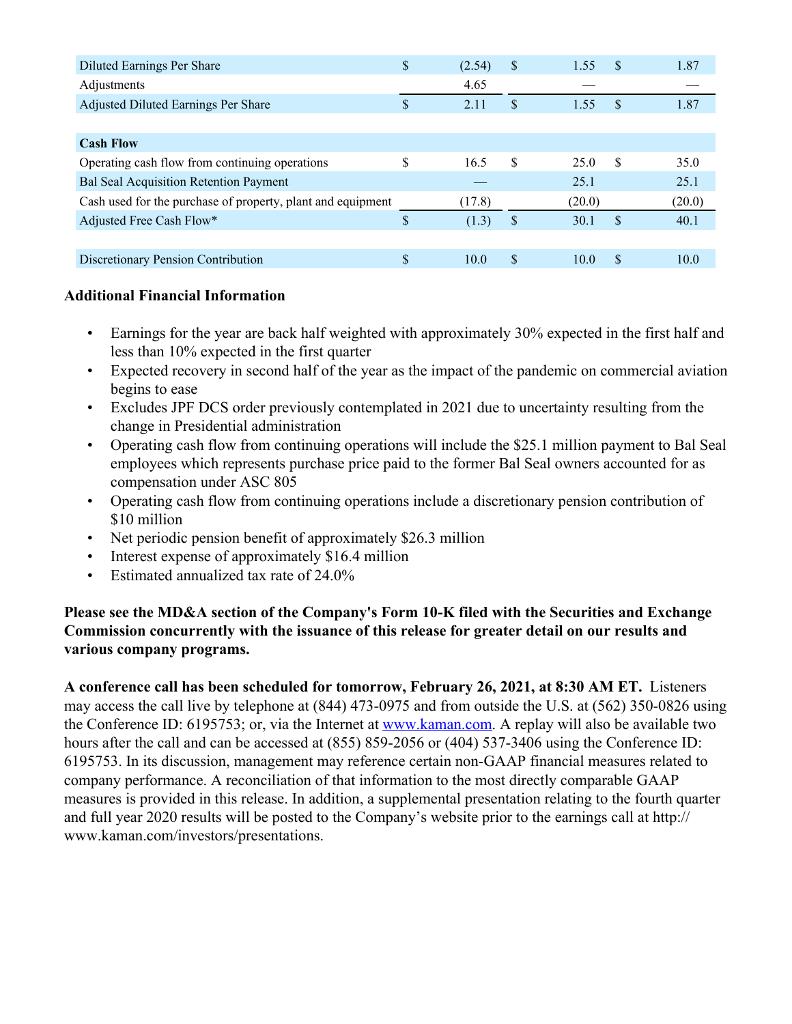| Diluted Earnings Per Share                                  | \$ | (2.54) | S.  | 1.55   | \$. | 1.87   |
|-------------------------------------------------------------|----|--------|-----|--------|-----|--------|
| Adjustments                                                 |    | 4.65   |     |        |     |        |
| Adjusted Diluted Earnings Per Share                         | \$ | 2.11   | \$  | 1.55   | \$. | 1.87   |
|                                                             |    |        |     |        |     |        |
| <b>Cash Flow</b>                                            |    |        |     |        |     |        |
| Operating cash flow from continuing operations              | \$ | 16.5   | \$. | 25.0   | -S  | 35.0   |
| <b>Bal Seal Acquisition Retention Payment</b>               |    |        |     | 25.1   |     | 25.1   |
| Cash used for the purchase of property, plant and equipment |    | (17.8) |     | (20.0) |     | (20.0) |
| Adjusted Free Cash Flow*                                    | S  | (1.3)  | \$  | 30.1   | \$. | 40.1   |
|                                                             |    |        |     |        |     |        |
| <b>Discretionary Pension Contribution</b>                   | \$ | 10.0   | S   | 10.0   | S   | 10.0   |

# **Additional Financial Information**

- Earnings for the year are back half weighted with approximately 30% expected in the first half and less than 10% expected in the first quarter
- Expected recovery in second half of the year as the impact of the pandemic on commercial aviation begins to ease
- Excludes JPF DCS order previously contemplated in 2021 due to uncertainty resulting from the change in Presidential administration
- Operating cash flow from continuing operations will include the \$25.1 million payment to Bal Seal employees which represents purchase price paid to the former Bal Seal owners accounted for as compensation under ASC 805
- Operating cash flow from continuing operations include a discretionary pension contribution of \$10 million
- Net periodic pension benefit of approximately \$26.3 million
- Interest expense of approximately \$16.4 million
- Estimated annualized tax rate of 24.0%

# **Please see the MD&A section of the Company's Form 10-K filed with the Securities and Exchange Commission concurrently with the issuance of this release for greater detail on our results and various company programs.**

**A conference call has been scheduled for tomorrow, February 26, 2021, at 8:30 AM ET.** Listeners may access the call live by telephone at (844) 473-0975 and from outside the U.S. at (562) 350-0826 using the Conference ID: 6195753; or, via the Internet at www.kaman.com. A replay will also be available two hours after the call and can be accessed at (855) 859-2056 or (404) 537-3406 using the Conference ID: 6195753. In its discussion, management may reference certain non-GAAP financial measures related to company performance. A reconciliation of that information to the most directly comparable GAAP measures is provided in this release. In addition, a supplemental presentation relating to the fourth quarter and full year 2020 results will be posted to the Company's website prior to the earnings call at http:// www.kaman.com/investors/presentations.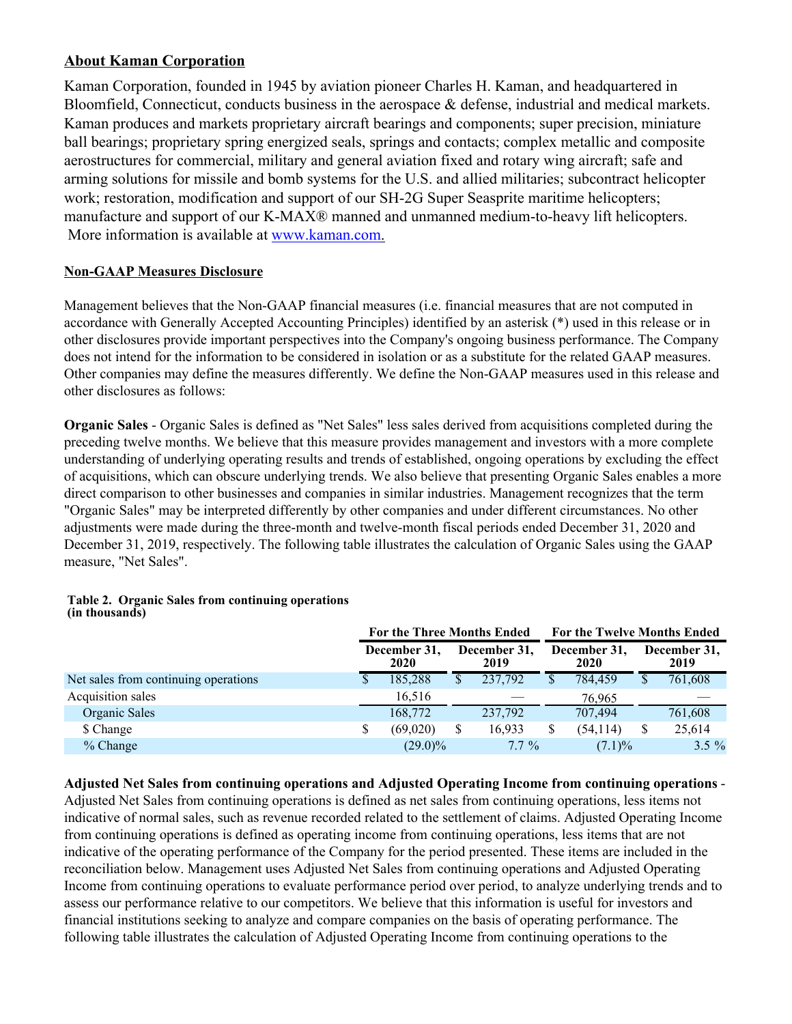## **About Kaman Corporation**

Kaman Corporation, founded in 1945 by aviation pioneer Charles H. Kaman, and headquartered in Bloomfield, Connecticut, conducts business in the aerospace & defense, industrial and medical markets. Kaman produces and markets proprietary aircraft bearings and components; super precision, miniature ball bearings; proprietary spring energized seals, springs and contacts; complex metallic and composite aerostructures for commercial, military and general aviation fixed and rotary wing aircraft; safe and arming solutions for missile and bomb systems for the U.S. and allied militaries; subcontract helicopter work; restoration, modification and support of our SH-2G Super Seasprite maritime helicopters; manufacture and support of our K-MAX® manned and unmanned medium-to-heavy lift helicopters. More information is available at www.kaman.com.

#### **Non-GAAP Measures Disclosure**

Management believes that the Non-GAAP financial measures (i.e. financial measures that are not computed in accordance with Generally Accepted Accounting Principles) identified by an asterisk (\*) used in this release or in other disclosures provide important perspectives into the Company's ongoing business performance. The Company does not intend for the information to be considered in isolation or as a substitute for the related GAAP measures. Other companies may define the measures differently. We define the Non-GAAP measures used in this release and other disclosures as follows:

**Organic Sales** - Organic Sales is defined as "Net Sales" less sales derived from acquisitions completed during the preceding twelve months. We believe that this measure provides management and investors with a more complete understanding of underlying operating results and trends of established, ongoing operations by excluding the effect of acquisitions, which can obscure underlying trends. We also believe that presenting Organic Sales enables a more direct comparison to other businesses and companies in similar industries. Management recognizes that the term "Organic Sales" may be interpreted differently by other companies and under different circumstances. No other adjustments were made during the three-month and twelve-month fiscal periods ended December 31, 2020 and December 31, 2019, respectively. The following table illustrates the calculation of Organic Sales using the GAAP measure, "Net Sales".

|                                      | <b>For the Three Months Ended</b> |    | <b>For the Twelve Months Ended</b> |  |                      |  |                      |
|--------------------------------------|-----------------------------------|----|------------------------------------|--|----------------------|--|----------------------|
|                                      | December 31,<br>2020              |    | December 31.<br>2019               |  | December 31,<br>2020 |  | December 31,<br>2019 |
| Net sales from continuing operations | 185,288                           | \$ | 237,792                            |  | 784,459              |  | 761,608              |
| Acquisition sales                    | 16.516                            |    |                                    |  | 76.965               |  |                      |
| Organic Sales                        | 168,772                           |    | 237,792                            |  | 707.494              |  | 761,608              |
| \$ Change                            | (69,020)                          |    | 16,933                             |  | (54, 114)            |  | 25,614               |
| $%$ Change                           | $(29.0)\%$                        |    | $7.7\%$                            |  | $(7.1)\%$            |  | $3.5\%$              |

#### **Table 2. Organic Sales from continuing operations (in thousands)**

**Adjusted Net Sales from continuing operations and Adjusted Operating Income from continuing operations** - Adjusted Net Sales from continuing operations is defined as net sales from continuing operations, less items not indicative of normal sales, such as revenue recorded related to the settlement of claims. Adjusted Operating Income from continuing operations is defined as operating income from continuing operations, less items that are not indicative of the operating performance of the Company for the period presented. These items are included in the reconciliation below. Management uses Adjusted Net Sales from continuing operations and Adjusted Operating Income from continuing operations to evaluate performance period over period, to analyze underlying trends and to assess our performance relative to our competitors. We believe that this information is useful for investors and financial institutions seeking to analyze and compare companies on the basis of operating performance. The following table illustrates the calculation of Adjusted Operating Income from continuing operations to the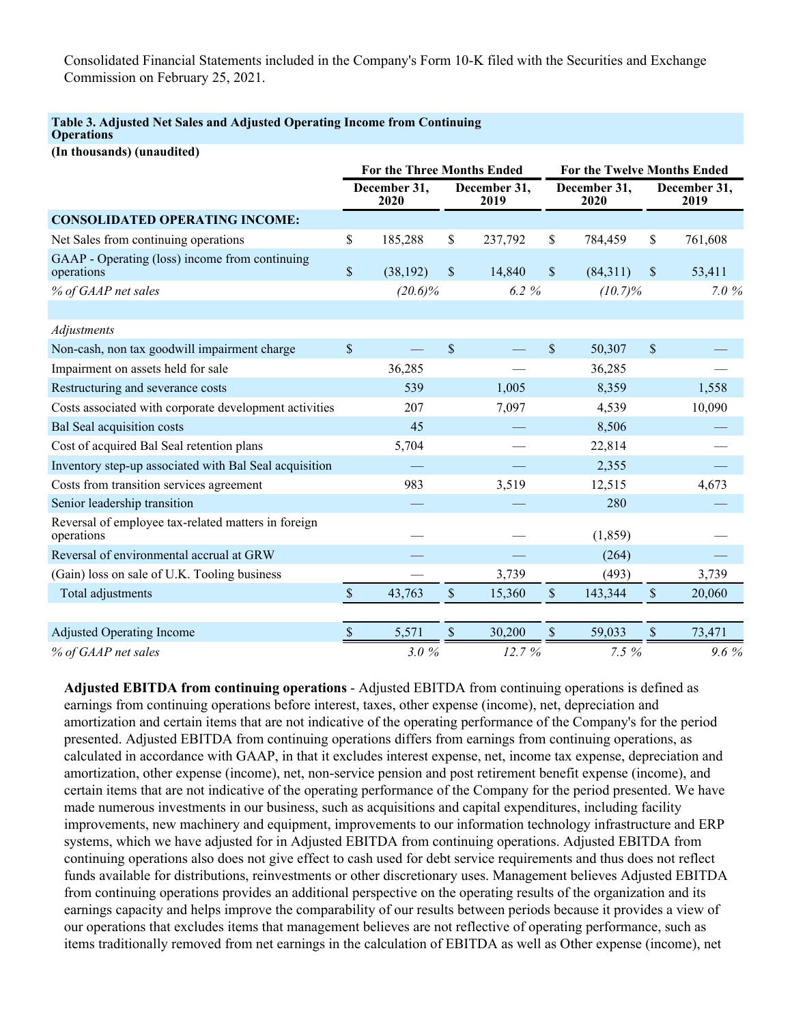Consolidated Financial Statements included in the Company's Form 10-K filed with the Securities and Exchange Commission on February 25, 2021.

#### **Table 3. Adjusted Net Sales and Adjusted Operating Income from Continuing Operations**

**(In thousands) (unaudited)**

|                                                                   |               | <b>For the Three Months Ended</b> |                           |                      | For the Twelve Months Ended |            |                           |                      |  |  |
|-------------------------------------------------------------------|---------------|-----------------------------------|---------------------------|----------------------|-----------------------------|------------|---------------------------|----------------------|--|--|
|                                                                   |               | December 31,<br>2020              |                           | December 31,<br>2019 | December 31,<br>2020        |            |                           | December 31,<br>2019 |  |  |
| <b>CONSOLIDATED OPERATING INCOME:</b>                             |               |                                   |                           |                      |                             |            |                           |                      |  |  |
| Net Sales from continuing operations                              | \$            | 185,288                           | \$                        | 237,792              | \$                          | 784,459    | \$                        | 761,608              |  |  |
| GAAP - Operating (loss) income from continuing<br>operations      | $\$$          | (38, 192)                         | \$                        | 14,840               | $\mathbb{S}$                | (84,311)   | \$                        | 53,411               |  |  |
| % of GAAP net sales                                               |               | $(20.6)\%$                        |                           | 6.2%                 |                             | $(10.7)\%$ |                           | 7.0 $%$              |  |  |
|                                                                   |               |                                   |                           |                      |                             |            |                           |                      |  |  |
| Adjustments                                                       |               |                                   |                           |                      |                             |            |                           |                      |  |  |
| Non-cash, non tax goodwill impairment charge                      | $\mathbb{S}$  |                                   | \$                        |                      | \$                          | 50,307     | $\boldsymbol{\mathsf{S}}$ |                      |  |  |
| Impairment on assets held for sale                                |               | 36,285                            |                           |                      |                             | 36,285     |                           |                      |  |  |
| Restructuring and severance costs                                 |               | 539                               |                           | 1,005                |                             | 8,359      |                           | 1,558                |  |  |
| Costs associated with corporate development activities            |               | 207                               |                           | 7,097                |                             | 4,539      |                           | 10,090               |  |  |
| <b>Bal Seal acquisition costs</b>                                 |               | 45                                |                           |                      |                             | 8,506      |                           |                      |  |  |
| Cost of acquired Bal Seal retention plans                         |               | 5,704                             |                           |                      |                             | 22,814     |                           |                      |  |  |
| Inventory step-up associated with Bal Seal acquisition            |               |                                   |                           |                      |                             | 2,355      |                           |                      |  |  |
| Costs from transition services agreement                          |               | 983                               |                           | 3,519                |                             | 12,515     |                           | 4,673                |  |  |
| Senior leadership transition                                      |               |                                   |                           |                      |                             | 280        |                           |                      |  |  |
| Reversal of employee tax-related matters in foreign<br>operations |               |                                   |                           |                      |                             | (1, 859)   |                           |                      |  |  |
| Reversal of environmental accrual at GRW                          |               |                                   |                           |                      |                             | (264)      |                           |                      |  |  |
| (Gain) loss on sale of U.K. Tooling business                      |               |                                   |                           | 3,739                |                             | (493)      |                           | 3,739                |  |  |
| Total adjustments                                                 | $\mathcal{S}$ | 43,763                            | $\boldsymbol{\mathsf{S}}$ | 15,360               | $\boldsymbol{\mathsf{S}}$   | 143,344    | $\mathcal{S}$             | 20,060               |  |  |
| <b>Adjusted Operating Income</b>                                  | $\$$          | 5,571                             | $\boldsymbol{\mathsf{S}}$ | 30,200               | $\mathbb{S}$                | 59,033     | $\$$                      | 73,471               |  |  |
| % of GAAP net sales                                               |               | 3.0%                              |                           | 12.7 %               |                             | 7.5 %      |                           | 9.6%                 |  |  |

**Adjusted EBITDA from continuing operations** - Adjusted EBITDA from continuing operations is defined as earnings from continuing operations before interest, taxes, other expense (income), net, depreciation and amortization and certain items that are not indicative of the operating performance of the Company's for the period presented. Adjusted EBITDA from continuing operations differs from earnings from continuing operations, as calculated in accordance with GAAP, in that it excludes interest expense, net, income tax expense, depreciation and amortization, other expense (income), net, non-service pension and post retirement benefit expense (income), and certain items that are not indicative of the operating performance of the Company for the period presented. We have made numerous investments in our business, such as acquisitions and capital expenditures, including facility improvements, new machinery and equipment, improvements to our information technology infrastructure and ERP systems, which we have adjusted for in Adjusted EBITDA from continuing operations. Adjusted EBITDA from continuing operations also does not give effect to cash used for debt service requirements and thus does not reflect funds available for distributions, reinvestments or other discretionary uses. Management believes Adjusted EBITDA from continuing operations provides an additional perspective on the operating results of the organization and its earnings capacity and helps improve the comparability of our results between periods because it provides a view of our operations that excludes items that management believes are not reflective of operating performance, such as items traditionally removed from net earnings in the calculation of EBITDA as well as Other expense (income), net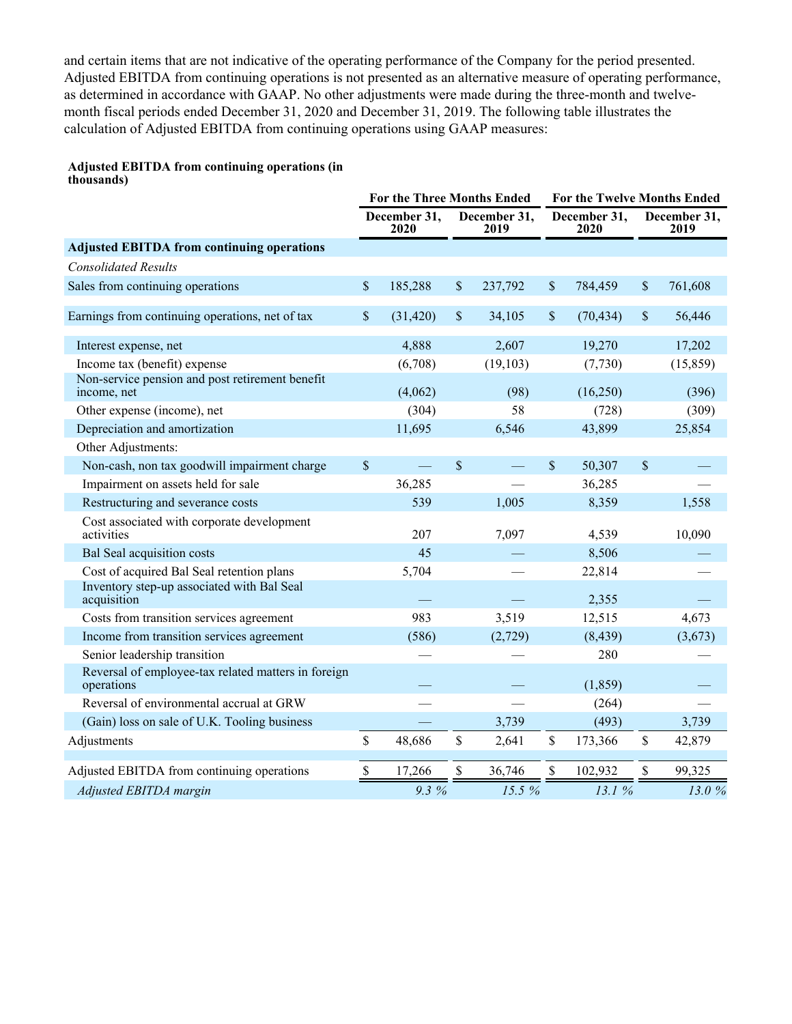and certain items that are not indicative of the operating performance of the Company for the period presented. Adjusted EBITDA from continuing operations is not presented as an alternative measure of operating performance, as determined in accordance with GAAP. No other adjustments were made during the three-month and twelvemonth fiscal periods ended December 31, 2020 and December 31, 2019. The following table illustrates the calculation of Adjusted EBITDA from continuing operations using GAAP measures:

# **Adjusted EBITDA from continuing operations (in**

| thousands)                                                        |               |                                   |               |                      |                      |                             |                      |
|-------------------------------------------------------------------|---------------|-----------------------------------|---------------|----------------------|----------------------|-----------------------------|----------------------|
|                                                                   |               | <b>For the Three Months Ended</b> |               |                      |                      | For the Twelve Months Ended |                      |
|                                                                   |               | December 31,<br>2020              |               | December 31,<br>2019 | December 31,<br>2020 |                             | December 31,<br>2019 |
| <b>Adjusted EBITDA from continuing operations</b>                 |               |                                   |               |                      |                      |                             |                      |
| <b>Consolidated Results</b>                                       |               |                                   |               |                      |                      |                             |                      |
| Sales from continuing operations                                  | $\mathsf{\$}$ | 185,288                           | \$            | 237,792              | \$<br>784,459        | \$                          | 761,608              |
| Earnings from continuing operations, net of tax                   | \$            | (31, 420)                         | $\mathsf{\$}$ | 34,105               | \$<br>(70, 434)      | \$                          | 56,446               |
| Interest expense, net                                             |               | 4,888                             |               | 2,607                | 19,270               |                             | 17,202               |
| Income tax (benefit) expense                                      |               | (6,708)                           |               | (19, 103)            | (7, 730)             |                             | (15, 859)            |
| Non-service pension and post retirement benefit<br>income, net    |               | (4,062)                           |               | (98)                 | (16,250)             |                             | (396)                |
| Other expense (income), net                                       |               | (304)                             |               | 58                   | (728)                |                             | (309)                |
| Depreciation and amortization                                     |               | 11,695                            |               | 6,546                | 43,899               |                             | 25,854               |
| Other Adjustments:                                                |               |                                   |               |                      |                      |                             |                      |
| Non-cash, non tax goodwill impairment charge                      | $\mathbb{S}$  |                                   | $\mathsf{\$}$ |                      | \$<br>50,307         | \$                          |                      |
| Impairment on assets held for sale                                |               | 36,285                            |               |                      | 36,285               |                             |                      |
| Restructuring and severance costs                                 |               | 539                               |               | 1,005                | 8,359                |                             | 1,558                |
| Cost associated with corporate development<br>activities          |               | 207                               |               | 7,097                | 4,539                |                             | 10,090               |
| Bal Seal acquisition costs                                        |               | 45                                |               |                      | 8,506                |                             |                      |
| Cost of acquired Bal Seal retention plans                         |               | 5,704                             |               |                      | 22,814               |                             |                      |
| Inventory step-up associated with Bal Seal<br>acquisition         |               |                                   |               |                      | 2,355                |                             |                      |
| Costs from transition services agreement                          |               | 983                               |               | 3,519                | 12,515               |                             | 4,673                |
| Income from transition services agreement                         |               | (586)                             |               | (2,729)              | (8, 439)             |                             | (3,673)              |
| Senior leadership transition                                      |               |                                   |               |                      | 280                  |                             |                      |
| Reversal of employee-tax related matters in foreign<br>operations |               |                                   |               |                      | (1, 859)             |                             |                      |
| Reversal of environmental accrual at GRW                          |               |                                   |               |                      | (264)                |                             |                      |
| (Gain) loss on sale of U.K. Tooling business                      |               |                                   |               | 3,739                | (493)                |                             | 3,739                |
| Adjustments                                                       | \$            | 48,686                            | $\$$          | 2,641                | \$<br>173,366        | \$                          | 42,879               |
| Adjusted EBITDA from continuing operations                        | $\mathsf{\$}$ | 17,266                            | $\mathsf{\$}$ | 36,746               | \$<br>102,932        | \$                          | 99,325               |
| Adjusted EBITDA margin                                            |               | 9.3 %                             |               | 15.5%                | 13.1%                |                             | 13.0%                |
|                                                                   |               |                                   |               |                      |                      |                             |                      |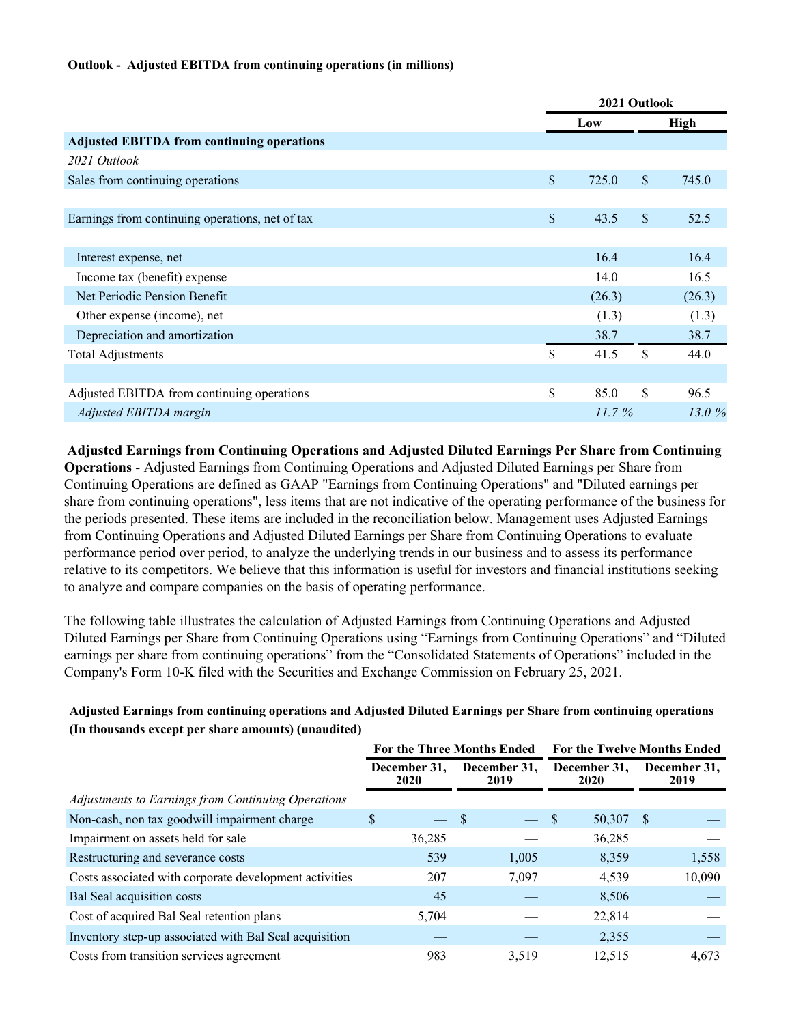#### **Outlook - Adjusted EBITDA from continuing operations (in millions)**

|                                                   |               | 2021 Outlook |              |             |  |  |
|---------------------------------------------------|---------------|--------------|--------------|-------------|--|--|
|                                                   |               | Low          |              | <b>High</b> |  |  |
| <b>Adjusted EBITDA from continuing operations</b> |               |              |              |             |  |  |
| 2021 Outlook                                      |               |              |              |             |  |  |
| Sales from continuing operations                  | $\mathcal{S}$ | 725.0        | $\mathbb{S}$ | 745.0       |  |  |
|                                                   |               |              |              |             |  |  |
| Earnings from continuing operations, net of tax   | $\mathbb{S}$  | 43.5         | $\mathbb{S}$ | 52.5        |  |  |
|                                                   |               |              |              |             |  |  |
| Interest expense, net                             |               | 16.4         |              | 16.4        |  |  |
| Income tax (benefit) expense                      |               | 14.0         |              | 16.5        |  |  |
| Net Periodic Pension Benefit                      |               | (26.3)       |              | (26.3)      |  |  |
| Other expense (income), net                       |               | (1.3)        |              | (1.3)       |  |  |
| Depreciation and amortization                     |               | 38.7         |              | 38.7        |  |  |
| <b>Total Adjustments</b>                          | \$            | 41.5         | \$           | 44.0        |  |  |
|                                                   |               |              |              |             |  |  |
| Adjusted EBITDA from continuing operations        | \$            | 85.0         | \$           | 96.5        |  |  |
| Adjusted EBITDA margin                            |               | $11.7\%$     |              | 13.0 $%$    |  |  |

**Adjusted Earnings from Continuing Operations and Adjusted Diluted Earnings Per Share from Continuing Operations** - Adjusted Earnings from Continuing Operations and Adjusted Diluted Earnings per Share from Continuing Operations are defined as GAAP "Earnings from Continuing Operations" and "Diluted earnings per share from continuing operations", less items that are not indicative of the operating performance of the business for the periods presented. These items are included in the reconciliation below. Management uses Adjusted Earnings from Continuing Operations and Adjusted Diluted Earnings per Share from Continuing Operations to evaluate performance period over period, to analyze the underlying trends in our business and to assess its performance relative to its competitors. We believe that this information is useful for investors and financial institutions seeking to analyze and compare companies on the basis of operating performance.

The following table illustrates the calculation of Adjusted Earnings from Continuing Operations and Adjusted Diluted Earnings per Share from Continuing Operations using "Earnings from Continuing Operations" and "Diluted earnings per share from continuing operations" from the "Consolidated Statements of Operations" included in the Company's Form 10-K filed with the Securities and Exchange Commission on February 25, 2021.

#### **Adjusted Earnings from continuing operations and Adjusted Diluted Earnings per Share from continuing operations (In thousands except per share amounts) (unaudited)**

|                                                        |                      | <b>For the Three Months Ended</b> | <b>For the Twelve Months Ended</b> |                      |  |  |  |
|--------------------------------------------------------|----------------------|-----------------------------------|------------------------------------|----------------------|--|--|--|
|                                                        | December 31.<br>2020 | December 31.<br>2019              | December 31,<br>2020               | December 31,<br>2019 |  |  |  |
| Adjustments to Earnings from Continuing Operations     |                      |                                   |                                    |                      |  |  |  |
| Non-cash, non tax goodwill impairment charge           | \$<br>$\frac{1}{2}$  | - \$                              | 50,307<br>S                        | -S                   |  |  |  |
| Impairment on assets held for sale                     | 36,285               |                                   | 36,285                             |                      |  |  |  |
| Restructuring and severance costs                      | 539                  | 1,005                             | 8,359                              | 1,558                |  |  |  |
| Costs associated with corporate development activities | 207                  | 7,097                             | 4,539                              | 10,090               |  |  |  |
| Bal Seal acquisition costs                             | 45                   |                                   | 8,506                              |                      |  |  |  |
| Cost of acquired Bal Seal retention plans              | 5,704                |                                   | 22,814                             |                      |  |  |  |
| Inventory step-up associated with Bal Seal acquisition |                      |                                   | 2,355                              |                      |  |  |  |
| Costs from transition services agreement               | 983                  | 3,519                             | 12,515                             | 4,673                |  |  |  |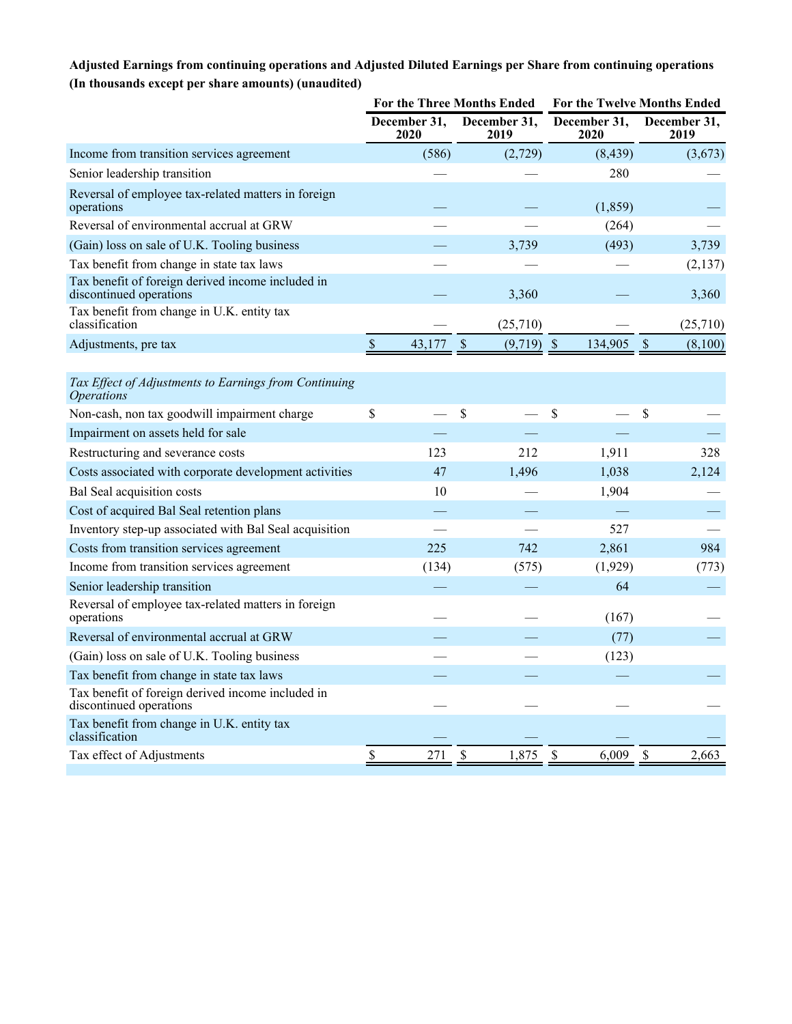### **Adjusted Earnings from continuing operations and Adjusted Diluted Earnings per Share from continuing operations (In thousands except per share amounts) (unaudited)**

|                                                                                   |                         | <b>For the Three Months Ended</b> | For the Twelve Months Ended |                          |  |  |
|-----------------------------------------------------------------------------------|-------------------------|-----------------------------------|-----------------------------|--------------------------|--|--|
|                                                                                   | December 31,<br>2020    | December 31,<br>2019              | December 31,<br>2020        | December 31,<br>2019     |  |  |
| Income from transition services agreement                                         | (586)                   | (2,729)                           | (8, 439)                    | (3,673)                  |  |  |
| Senior leadership transition                                                      |                         |                                   | 280                         |                          |  |  |
| Reversal of employee tax-related matters in foreign<br>operations                 |                         |                                   | (1, 859)                    |                          |  |  |
| Reversal of environmental accrual at GRW                                          |                         |                                   | (264)                       |                          |  |  |
| (Gain) loss on sale of U.K. Tooling business                                      |                         | 3,739                             | (493)                       | 3,739                    |  |  |
| Tax benefit from change in state tax laws                                         |                         |                                   |                             | (2,137)                  |  |  |
| Tax benefit of foreign derived income included in<br>discontinued operations      |                         | 3,360                             |                             | 3,360                    |  |  |
| Tax benefit from change in U.K. entity tax<br>classification                      |                         | (25,710)                          |                             | (25,710)                 |  |  |
| Adjustments, pre tax                                                              | $\mathcal{S}$<br>43,177 | $\mathcal{S}$<br>$(9,719)$ \$     | 134,905                     | $\mathsf{\$}$<br>(8,100) |  |  |
|                                                                                   |                         |                                   |                             |                          |  |  |
| Tax Effect of Adjustments to Earnings from Continuing<br><i><b>Operations</b></i> |                         |                                   |                             |                          |  |  |
| Non-cash, non tax goodwill impairment charge                                      | \$                      | \$                                | \$                          | \$                       |  |  |
| Impairment on assets held for sale                                                |                         |                                   |                             |                          |  |  |
| Restructuring and severance costs                                                 | 123                     | 212                               | 1,911                       | 328                      |  |  |
| Costs associated with corporate development activities                            | 47                      | 1,496                             | 1,038                       | 2,124                    |  |  |
| Bal Seal acquisition costs                                                        | 10                      |                                   | 1,904                       |                          |  |  |
| Cost of acquired Bal Seal retention plans                                         |                         |                                   |                             |                          |  |  |
| Inventory step-up associated with Bal Seal acquisition                            |                         |                                   | 527                         |                          |  |  |
| Costs from transition services agreement                                          | 225                     | 742                               | 2,861                       | 984                      |  |  |
| Income from transition services agreement                                         | (134)                   | (575)                             | (1,929)                     | (773)                    |  |  |
| Senior leadership transition                                                      |                         |                                   | 64                          |                          |  |  |
| Reversal of employee tax-related matters in foreign<br>operations                 |                         |                                   | (167)                       |                          |  |  |
| Reversal of environmental accrual at GRW                                          |                         |                                   | (77)                        |                          |  |  |
| (Gain) loss on sale of U.K. Tooling business                                      |                         |                                   | (123)                       |                          |  |  |
| Tax benefit from change in state tax laws                                         |                         |                                   |                             |                          |  |  |
| Tax benefit of foreign derived income included in<br>discontinued operations      |                         |                                   |                             |                          |  |  |
| Tax benefit from change in U.K. entity tax<br>classification                      |                         |                                   |                             |                          |  |  |
| Tax effect of Adjustments                                                         | \$<br>271               | $\mathsf{\$}$<br>1,875            | \$<br>6,009                 | \$<br>2,663              |  |  |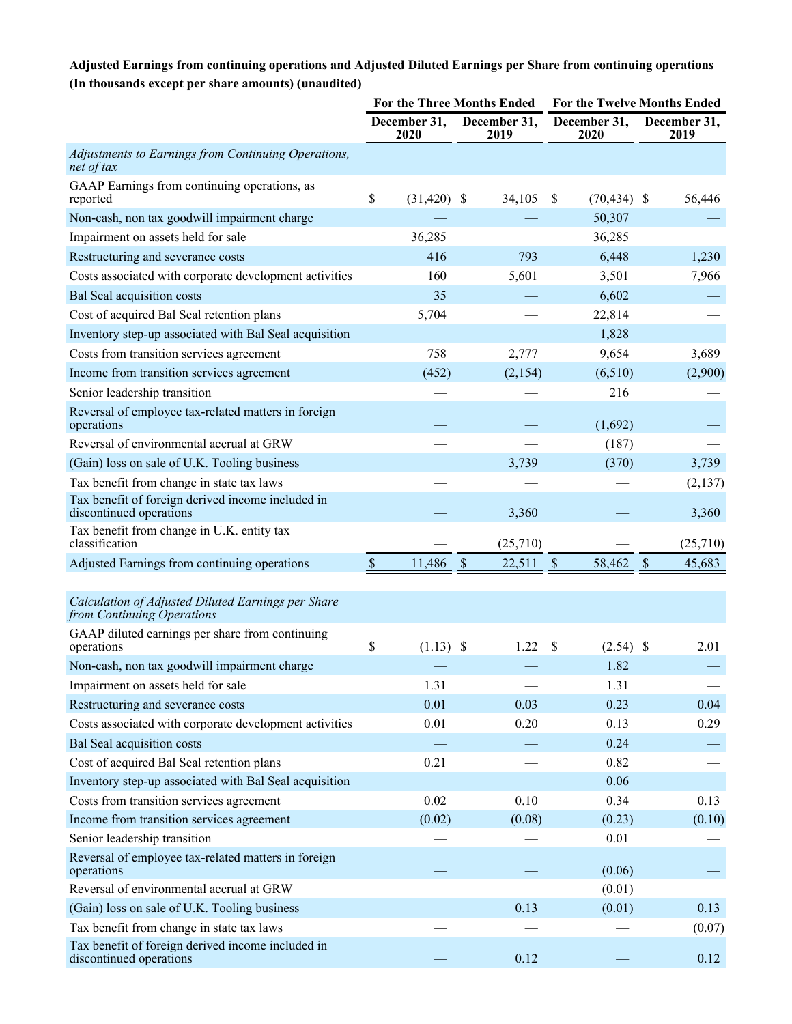### **Adjusted Earnings from continuing operations and Adjusted Diluted Earnings per Share from continuing operations (In thousands except per share amounts) (unaudited)**

|                                                                                  | For the Three Months Ended |                      |                           |                      | For the Twelve Months Ended |                      |               |                      |
|----------------------------------------------------------------------------------|----------------------------|----------------------|---------------------------|----------------------|-----------------------------|----------------------|---------------|----------------------|
|                                                                                  |                            | December 31,<br>2020 |                           | December 31,<br>2019 |                             | December 31,<br>2020 |               | December 31,<br>2019 |
| Adjustments to Earnings from Continuing Operations,<br>net of tax                |                            |                      |                           |                      |                             |                      |               |                      |
| GAAP Earnings from continuing operations, as<br>reported                         | \$                         | $(31, 420)$ \$       |                           | 34,105               | S                           | (70, 434)            | -S            | 56,446               |
| Non-cash, non tax goodwill impairment charge                                     |                            |                      |                           |                      |                             | 50,307               |               |                      |
| Impairment on assets held for sale                                               |                            | 36,285               |                           |                      |                             | 36,285               |               |                      |
| Restructuring and severance costs                                                |                            | 416                  |                           | 793                  |                             | 6,448                |               | 1,230                |
| Costs associated with corporate development activities                           |                            | 160                  |                           | 5,601                |                             | 3,501                |               | 7,966                |
| Bal Seal acquisition costs                                                       |                            | 35                   |                           |                      |                             | 6,602                |               |                      |
| Cost of acquired Bal Seal retention plans                                        |                            | 5,704                |                           |                      |                             | 22,814               |               |                      |
| Inventory step-up associated with Bal Seal acquisition                           |                            |                      |                           |                      |                             | 1,828                |               |                      |
| Costs from transition services agreement                                         |                            | 758                  |                           | 2,777                |                             | 9,654                |               | 3,689                |
| Income from transition services agreement                                        |                            | (452)                |                           | (2,154)              |                             | (6,510)              |               | (2,900)              |
| Senior leadership transition                                                     |                            |                      |                           |                      |                             | 216                  |               |                      |
| Reversal of employee tax-related matters in foreign<br>operations                |                            |                      |                           |                      |                             | (1,692)              |               |                      |
| Reversal of environmental accrual at GRW                                         |                            |                      |                           |                      |                             | (187)                |               |                      |
| (Gain) loss on sale of U.K. Tooling business                                     |                            |                      |                           | 3,739                |                             | (370)                |               | 3,739                |
| Tax benefit from change in state tax laws                                        |                            |                      |                           |                      |                             |                      |               | (2,137)              |
| Tax benefit of foreign derived income included in<br>discontinued operations     |                            |                      |                           | 3,360                |                             |                      |               | 3,360                |
| Tax benefit from change in U.K. entity tax<br>classification                     |                            |                      |                           | (25,710)             |                             |                      |               | (25,710)             |
| Adjusted Earnings from continuing operations                                     | $\mathcal{S}$              | 11,486               | $\boldsymbol{\mathsf{S}}$ | 22,511               | $\boldsymbol{\mathsf{S}}$   | 58,462               | $\mathcal{S}$ | 45,683               |
|                                                                                  |                            |                      |                           |                      |                             |                      |               |                      |
| Calculation of Adjusted Diluted Earnings per Share<br>from Continuing Operations |                            |                      |                           |                      |                             |                      |               |                      |
| GAAP diluted earnings per share from continuing<br>operations                    | \$                         | $(1.13)$ \$          |                           | 1.22                 | \$                          | $(2.54)$ \$          |               | 2.01                 |
| Non-cash, non tax goodwill impairment charge                                     |                            |                      |                           |                      |                             | 1.82                 |               |                      |
| Impairment on assets held for sale                                               |                            | 1.31                 |                           |                      |                             | 1.31                 |               |                      |
| Restructuring and severance costs                                                |                            | 0.01                 |                           | 0.03                 |                             | 0.23                 |               | 0.04                 |
| Costs associated with corporate development activities                           |                            | 0.01                 |                           | 0.20                 |                             | 0.13                 |               | 0.29                 |
| <b>Bal Seal acquisition costs</b>                                                |                            |                      |                           |                      |                             | 0.24                 |               |                      |
| Cost of acquired Bal Seal retention plans                                        |                            | 0.21                 |                           |                      |                             | 0.82                 |               |                      |
| Inventory step-up associated with Bal Seal acquisition                           |                            |                      |                           |                      |                             | 0.06                 |               |                      |
| Costs from transition services agreement                                         |                            | 0.02                 |                           | 0.10                 |                             | 0.34                 |               | 0.13                 |
| Income from transition services agreement                                        |                            | (0.02)               |                           | (0.08)               |                             | (0.23)               |               | (0.10)               |
| Senior leadership transition                                                     |                            |                      |                           |                      |                             | 0.01                 |               |                      |
| Reversal of employee tax-related matters in foreign<br>operations                |                            |                      |                           |                      |                             | (0.06)               |               |                      |
| Reversal of environmental accrual at GRW                                         |                            |                      |                           |                      |                             | (0.01)               |               |                      |
| (Gain) loss on sale of U.K. Tooling business                                     |                            |                      |                           | 0.13                 |                             | (0.01)               |               | 0.13                 |
| Tax benefit from change in state tax laws                                        |                            |                      |                           |                      |                             |                      |               | (0.07)               |
| Tax benefit of foreign derived income included in<br>discontinued operations     |                            |                      |                           | 0.12                 |                             |                      |               | 0.12                 |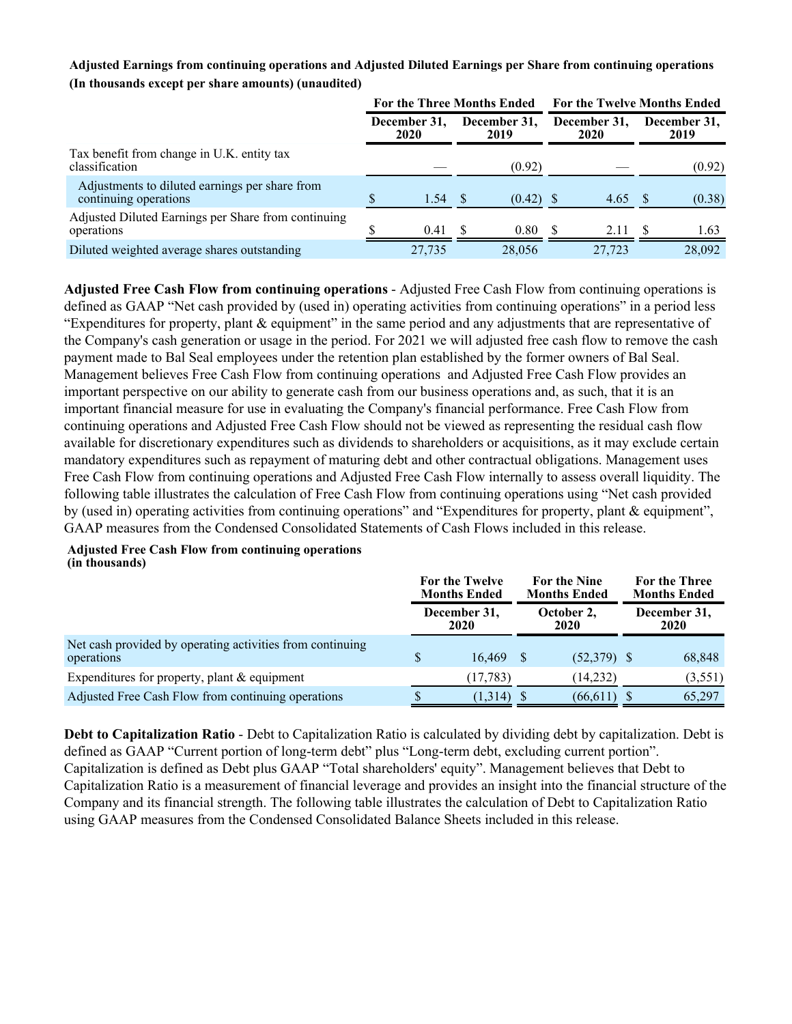#### **Adjusted Earnings from continuing operations and Adjusted Diluted Earnings per Share from continuing operations (In thousands except per share amounts) (unaudited)**

|                                                                         | <b>For the Three Months Ended</b> |        |              |                      | <b>For the Twelve Months Ended</b> |        |                      |        |  |
|-------------------------------------------------------------------------|-----------------------------------|--------|--------------|----------------------|------------------------------------|--------|----------------------|--------|--|
|                                                                         | December 31,<br>2020<br>2019      |        | December 31, | December 31,<br>2020 |                                    |        | December 31,<br>2019 |        |  |
| Tax benefit from change in U.K. entity tax<br>classification            |                                   |        |              | (0.92)               |                                    |        |                      | (0.92) |  |
| Adjustments to diluted earnings per share from<br>continuing operations |                                   | 1.54   |              | $(0.42)$ \$          |                                    | 4.65   |                      | (0.38) |  |
| Adjusted Diluted Earnings per Share from continuing<br>operations       |                                   | 0.41   |              | 0.80                 |                                    | 2.11   |                      | 1.63   |  |
| Diluted weighted average shares outstanding                             |                                   | 27.735 |              | 28,056               |                                    | 27.723 |                      | 28,092 |  |

**Adjusted Free Cash Flow from continuing operations** - Adjusted Free Cash Flow from continuing operations is defined as GAAP "Net cash provided by (used in) operating activities from continuing operations" in a period less "Expenditures for property, plant & equipment" in the same period and any adjustments that are representative of the Company's cash generation or usage in the period. For 2021 we will adjusted free cash flow to remove the cash payment made to Bal Seal employees under the retention plan established by the former owners of Bal Seal. Management believes Free Cash Flow from continuing operations and Adjusted Free Cash Flow provides an important perspective on our ability to generate cash from our business operations and, as such, that it is an important financial measure for use in evaluating the Company's financial performance. Free Cash Flow from continuing operations and Adjusted Free Cash Flow should not be viewed as representing the residual cash flow available for discretionary expenditures such as dividends to shareholders or acquisitions, as it may exclude certain mandatory expenditures such as repayment of maturing debt and other contractual obligations. Management uses Free Cash Flow from continuing operations and Adjusted Free Cash Flow internally to assess overall liquidity. The following table illustrates the calculation of Free Cash Flow from continuing operations using "Net cash provided by (used in) operating activities from continuing operations" and "Expenditures for property, plant & equipment", GAAP measures from the Condensed Consolidated Statements of Cash Flows included in this release.

#### **Adjusted Free Cash Flow from continuing operations (in thousands)**

|                                                                         |                      | For the Twelve<br><b>Months Ended</b> | <b>For the Nine</b><br><b>Months Ended</b> |                    |  | For the Three<br><b>Months Ended</b> |
|-------------------------------------------------------------------------|----------------------|---------------------------------------|--------------------------------------------|--------------------|--|--------------------------------------|
|                                                                         | December 31,<br>2020 |                                       |                                            | October 2,<br>2020 |  | December 31,<br>2020                 |
| Net cash provided by operating activities from continuing<br>operations |                      | 16.469                                |                                            | $(52,379)$ \$      |  | 68,848                               |
| Expenditures for property, plant $&$ equipment                          |                      | (17, 783)                             |                                            | (14,232)           |  | (3,551)                              |
| Adjusted Free Cash Flow from continuing operations                      |                      | (1,314)                               |                                            | (66, 611)          |  | 65,297                               |

**Debt to Capitalization Ratio** - Debt to Capitalization Ratio is calculated by dividing debt by capitalization. Debt is defined as GAAP "Current portion of long-term debt" plus "Long-term debt, excluding current portion". Capitalization is defined as Debt plus GAAP "Total shareholders' equity". Management believes that Debt to Capitalization Ratio is a measurement of financial leverage and provides an insight into the financial structure of the Company and its financial strength. The following table illustrates the calculation of Debt to Capitalization Ratio using GAAP measures from the Condensed Consolidated Balance Sheets included in this release.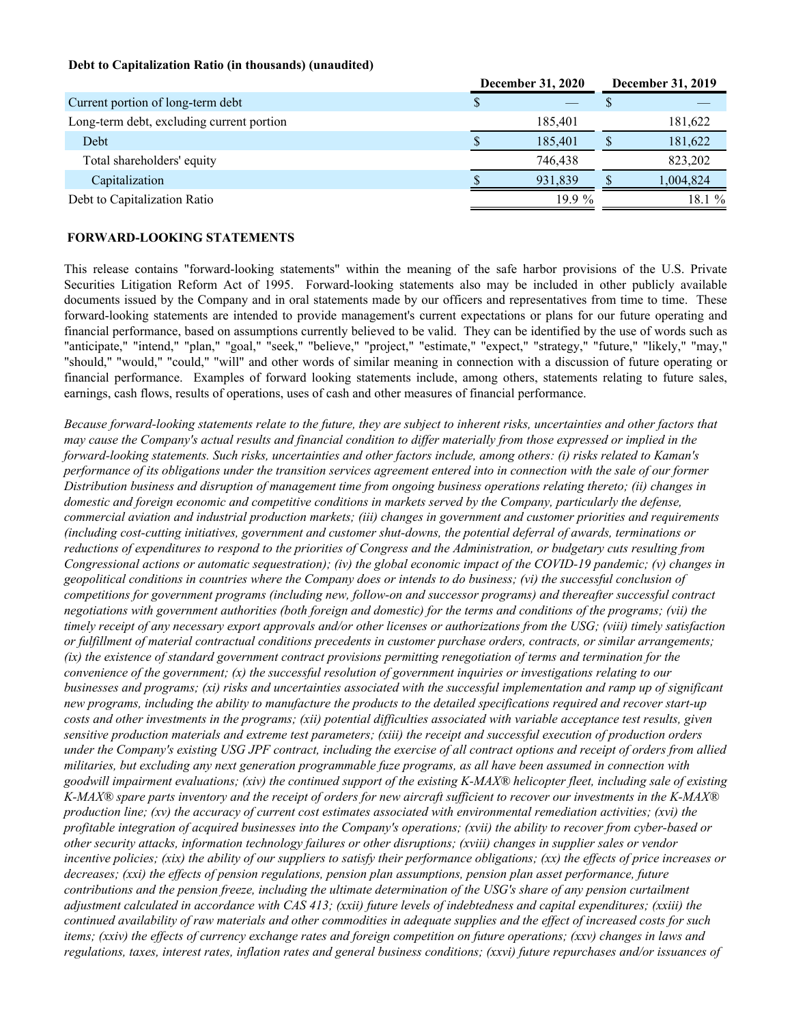#### **Debt to Capitalization Ratio (in thousands) (unaudited)**

|                                           | <b>December 31, 2020</b> |          | December 31, 2019 |           |
|-------------------------------------------|--------------------------|----------|-------------------|-----------|
| Current portion of long-term debt         |                          |          |                   |           |
| Long-term debt, excluding current portion |                          | 185.401  |                   | 181,622   |
| Debt                                      |                          | 185.401  |                   | 181,622   |
| Total shareholders' equity                |                          | 746.438  |                   | 823,202   |
| Capitalization                            |                          | 931.839  |                   | 1,004,824 |
| Debt to Capitalization Ratio              |                          | $19.9\%$ |                   | 18.1 %    |

#### **FORWARD-LOOKING STATEMENTS**

This release contains "forward-looking statements" within the meaning of the safe harbor provisions of the U.S. Private Securities Litigation Reform Act of 1995. Forward-looking statements also may be included in other publicly available documents issued by the Company and in oral statements made by our officers and representatives from time to time. These forward-looking statements are intended to provide management's current expectations or plans for our future operating and financial performance, based on assumptions currently believed to be valid. They can be identified by the use of words such as "anticipate," "intend," "plan," "goal," "seek," "believe," "project," "estimate," "expect," "strategy," "future," "likely," "may," "should," "would," "could," "will" and other words of similar meaning in connection with a discussion of future operating or financial performance. Examples of forward looking statements include, among others, statements relating to future sales, earnings, cash flows, results of operations, uses of cash and other measures of financial performance.

*Because forward-looking statements relate to the future, they are subject to inherent risks, uncertainties and other factors that may cause the Company's actual results and financial condition to differ materially from those expressed or implied in the forward-looking statements. Such risks, uncertainties and other factors include, among others: (i) risks related to Kaman's performance of its obligations under the transition services agreement entered into in connection with the sale of our former Distribution business and disruption of management time from ongoing business operations relating thereto; (ii) changes in domestic and foreign economic and competitive conditions in markets served by the Company, particularly the defense, commercial aviation and industrial production markets; (iii) changes in government and customer priorities and requirements (including cost-cutting initiatives, government and customer shut-downs, the potential deferral of awards, terminations or reductions of expenditures to respond to the priorities of Congress and the Administration, or budgetary cuts resulting from Congressional actions or automatic sequestration); (iv) the global economic impact of the COVID-19 pandemic; (v) changes in geopolitical conditions in countries where the Company does or intends to do business; (vi) the successful conclusion of competitions for government programs (including new, follow-on and successor programs) and thereafter successful contract negotiations with government authorities (both foreign and domestic) for the terms and conditions of the programs; (vii) the timely receipt of any necessary export approvals and/or other licenses or authorizations from the USG; (viii) timely satisfaction or fulfillment of material contractual conditions precedents in customer purchase orders, contracts, or similar arrangements; (ix) the existence of standard government contract provisions permitting renegotiation of terms and termination for the convenience of the government; (x) the successful resolution of government inquiries or investigations relating to our businesses and programs; (xi) risks and uncertainties associated with the successful implementation and ramp up of significant new programs, including the ability to manufacture the products to the detailed specifications required and recover start-up costs and other investments in the programs; (xii) potential difficulties associated with variable acceptance test results, given sensitive production materials and extreme test parameters; (xiii) the receipt and successful execution of production orders under the Company's existing USG JPF contract, including the exercise of all contract options and receipt of orders from allied militaries, but excluding any next generation programmable fuze programs, as all have been assumed in connection with goodwill impairment evaluations; (xiv) the continued support of the existing K-MAX® helicopter fleet, including sale of existing K-MAX® spare parts inventory and the receipt of orders for new aircraft sufficient to recover our investments in the K-MAX® production line; (xv) the accuracy of current cost estimates associated with environmental remediation activities; (xvi) the profitable integration of acquired businesses into the Company's operations; (xvii) the ability to recover from cyber-based or other security attacks, information technology failures or other disruptions; (xviii) changes in supplier sales or vendor incentive policies; (xix) the ability of our suppliers to satisfy their performance obligations; (xx) the effects of price increases or decreases; (xxi) the effects of pension regulations, pension plan assumptions, pension plan asset performance, future contributions and the pension freeze, including the ultimate determination of the USG's share of any pension curtailment adjustment calculated in accordance with CAS 413; (xxii) future levels of indebtedness and capital expenditures; (xxiii) the continued availability of raw materials and other commodities in adequate supplies and the effect of increased costs for such items; (xxiv) the effects of currency exchange rates and foreign competition on future operations; (xxv) changes in laws and regulations, taxes, interest rates, inflation rates and general business conditions; (xxvi) future repurchases and/or issuances of*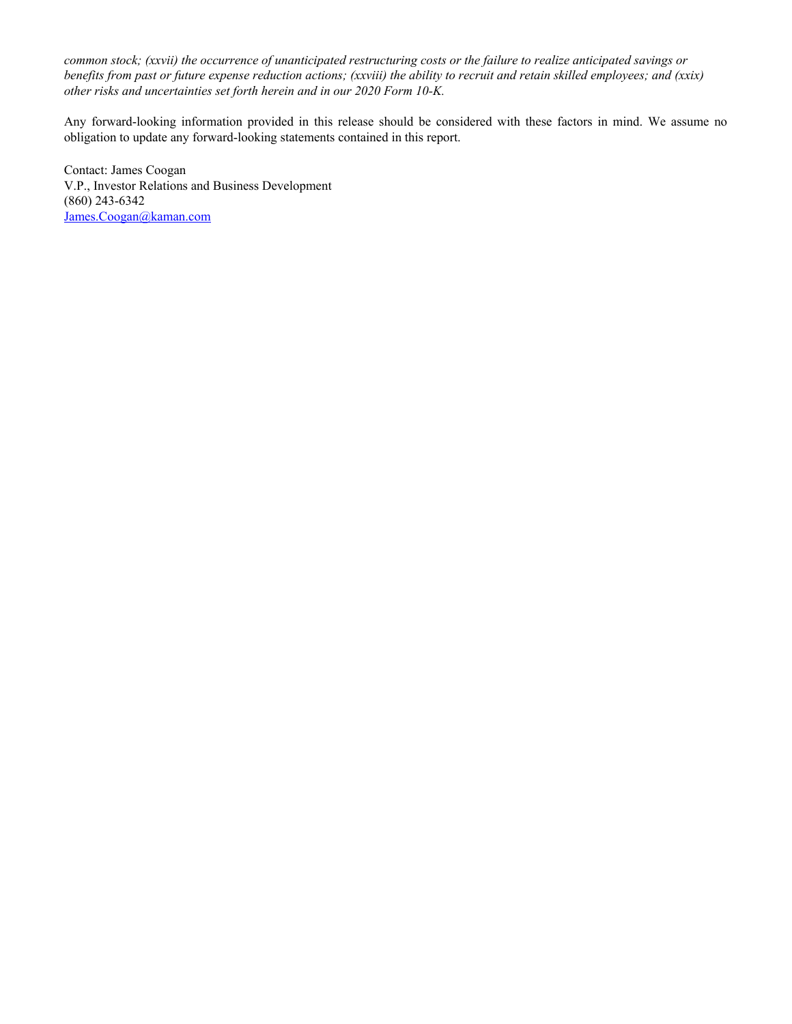*common stock; (xxvii) the occurrence of unanticipated restructuring costs or the failure to realize anticipated savings or benefits from past or future expense reduction actions; (xxviii) the ability to recruit and retain skilled employees; and (xxix) other risks and uncertainties set forth herein and in our 2020 Form 10-K.*

Any forward-looking information provided in this release should be considered with these factors in mind. We assume no obligation to update any forward-looking statements contained in this report.

Contact: James Coogan V.P., Investor Relations and Business Development (860) 243-6342 James.Coogan@kaman.com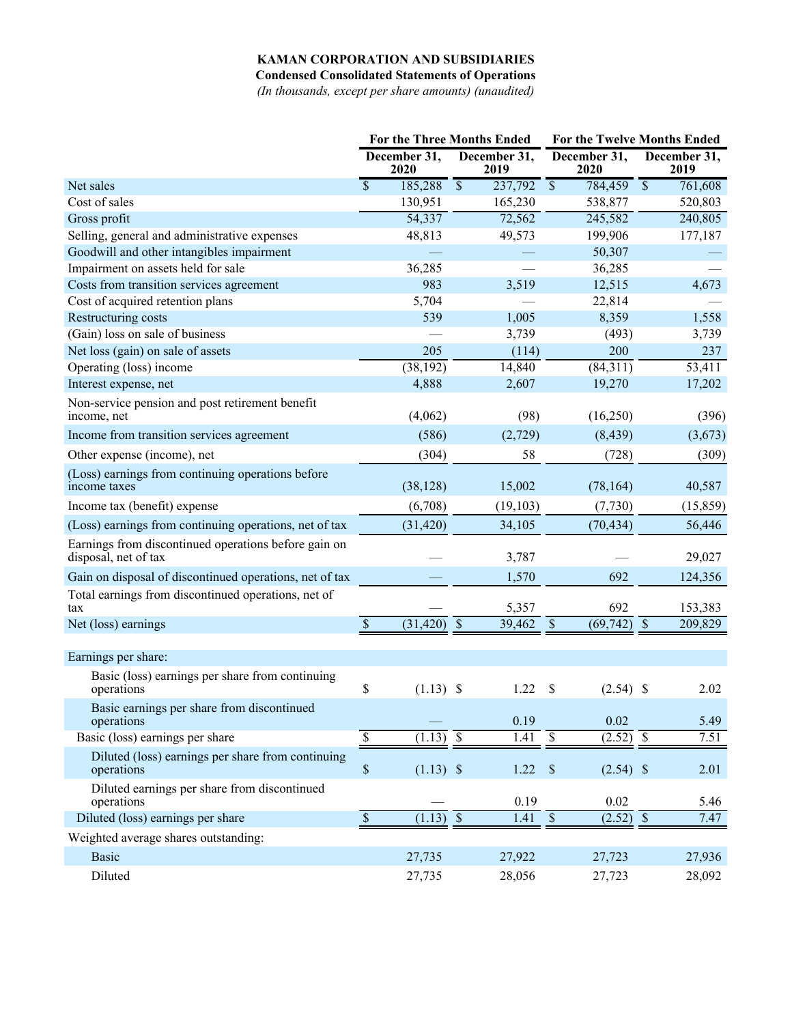### **KAMAN CORPORATION AND SUBSIDIARIES**

**Condensed Consolidated Statements of Operations**

*(In thousands, except per share amounts) (unaudited)*

|                                                                              | <b>For the Three Months Ended</b>                  |                                     | For the Twelve Months Ended               |                                     |  |
|------------------------------------------------------------------------------|----------------------------------------------------|-------------------------------------|-------------------------------------------|-------------------------------------|--|
|                                                                              | December 31,<br>2020                               | December 31,<br>2019                | December 31,<br>2020                      | December 31,<br>2019                |  |
| Net sales                                                                    | $\overline{\mathcal{S}}$<br>185,288                | $\overline{\mathcal{S}}$<br>237,792 | $\overline{\mathcal{S}}$<br>784,459       | $\overline{\mathcal{S}}$<br>761,608 |  |
| Cost of sales                                                                | 130,951                                            | 165,230                             | 538,877                                   | 520,803                             |  |
| Gross profit                                                                 | 54,337                                             | 72,562                              | 245,582                                   | 240,805                             |  |
| Selling, general and administrative expenses                                 | 48,813                                             | 49,573                              | 199,906                                   | 177,187                             |  |
| Goodwill and other intangibles impairment                                    |                                                    |                                     | 50,307                                    |                                     |  |
| Impairment on assets held for sale                                           | 36,285                                             |                                     | 36,285                                    |                                     |  |
| Costs from transition services agreement                                     | 983                                                | 3,519                               | 12,515                                    | 4,673                               |  |
| Cost of acquired retention plans                                             | 5,704                                              |                                     | 22,814                                    |                                     |  |
| Restructuring costs                                                          | 539                                                | 1,005                               | 8,359                                     | 1,558                               |  |
| (Gain) loss on sale of business                                              |                                                    | 3,739                               | (493)                                     | 3,739                               |  |
| Net loss (gain) on sale of assets                                            | 205                                                | (114)                               | 200                                       | 237                                 |  |
| Operating (loss) income                                                      | (38, 192)                                          | 14,840                              | (84,311)                                  | 53,411                              |  |
| Interest expense, net                                                        | 4,888                                              | 2,607                               | 19,270                                    | 17,202                              |  |
| Non-service pension and post retirement benefit<br>income, net               | (4,062)                                            | (98)                                | (16,250)                                  | (396)                               |  |
| Income from transition services agreement                                    | (586)                                              | (2,729)                             | (8, 439)                                  | (3,673)                             |  |
| Other expense (income), net                                                  | (304)                                              | 58                                  | (728)                                     | (309)                               |  |
| (Loss) earnings from continuing operations before<br>income taxes            | (38, 128)                                          | 15,002                              | (78, 164)                                 | 40,587                              |  |
| Income tax (benefit) expense                                                 | (6,708)                                            | (19, 103)                           | (7, 730)                                  | (15, 859)                           |  |
| (Loss) earnings from continuing operations, net of tax                       | (31, 420)                                          | 34,105                              | (70, 434)                                 | 56,446                              |  |
| Earnings from discontinued operations before gain on<br>disposal, net of tax |                                                    | 3,787                               |                                           | 29,027                              |  |
| Gain on disposal of discontinued operations, net of tax                      |                                                    | 1,570                               | 692                                       | 124,356                             |  |
| Total earnings from discontinued operations, net of<br>tax                   |                                                    | 5,357                               | 692                                       | 153,383                             |  |
| Net (loss) earnings                                                          | $\overline{\mathcal{S}}$<br>(31, 420)              | $\mathcal{S}$<br>39,462             | $\overline{(69,742)}$ \$<br>$\mathcal{S}$ | 209,829                             |  |
|                                                                              |                                                    |                                     |                                           |                                     |  |
| Earnings per share:                                                          |                                                    |                                     |                                           |                                     |  |
| Basic (loss) earnings per share from continuing<br>operations                | \$<br>$(1.13)$ \$                                  | 1.22                                | \$<br>(2.54)                              | 2.02<br><sup>\$</sup>               |  |
| Basic earnings per share from discontinued<br>operations                     |                                                    | 0.19                                | 0.02                                      | 5.49                                |  |
| Basic (loss) earnings per share                                              | $\overline{\mathcal{S}}$<br>$\overline{(1.13)}$ \$ | 1.41                                | $\overline{\mathcal{S}}$<br>$(2.52)$ \$   | 7.51                                |  |
| Diluted (loss) earnings per share from continuing<br>operations              | \$<br>$(1.13)$ \$                                  | 1.22                                | $\mathcal{S}$<br>$(2.54)$ \$              | 2.01                                |  |
| Diluted earnings per share from discontinued<br>operations                   |                                                    | 0.19                                | $0.02\,$                                  | 5.46                                |  |
| Diluted (loss) earnings per share                                            | $\overline{\mathcal{S}}$<br>$(1.13)$ \$            | $\overline{1.41}$ \$                | $(2.52)$ \$                               | 7.47                                |  |
| Weighted average shares outstanding:                                         |                                                    |                                     |                                           |                                     |  |
| <b>Basic</b>                                                                 | 27,735                                             | 27,922                              | 27,723                                    | 27,936                              |  |
| Diluted                                                                      | 27,735                                             | 28,056                              | 27,723                                    | 28,092                              |  |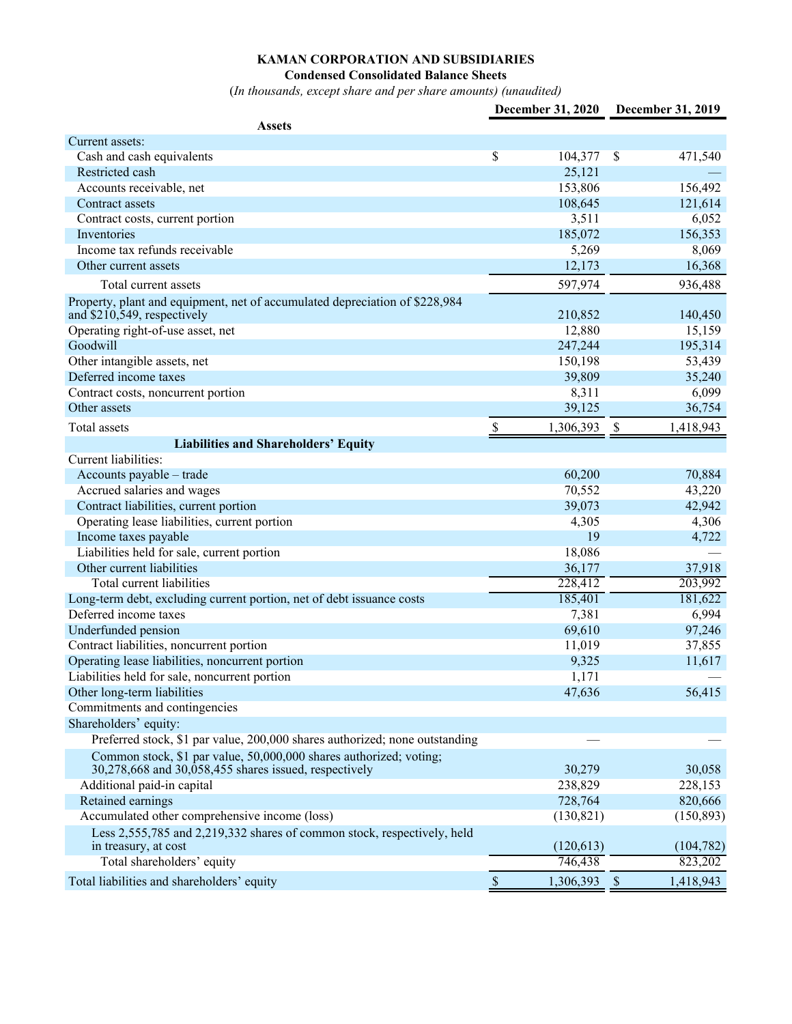#### **KAMAN CORPORATION AND SUBSIDIARIES**

#### **Condensed Consolidated Balance Sheets**

(*In thousands, except share and per share amounts) (unaudited)*

|                                                                                                              | December 31, 2020 | <b>December 31, 2019</b>               |
|--------------------------------------------------------------------------------------------------------------|-------------------|----------------------------------------|
| Assets                                                                                                       |                   |                                        |
| Current assets:                                                                                              |                   |                                        |
| Cash and cash equivalents                                                                                    | \$<br>104,377     | -\$<br>471,540                         |
| Restricted cash                                                                                              | 25,121            |                                        |
| Accounts receivable, net                                                                                     | 153,806           | 156,492                                |
| Contract assets                                                                                              | 108,645           | 121,614                                |
| Contract costs, current portion                                                                              | 3,511             | 6,052                                  |
| Inventories                                                                                                  | 185,072           | 156,353                                |
| Income tax refunds receivable                                                                                | 5,269             | 8,069                                  |
| Other current assets                                                                                         | 12,173            | 16,368                                 |
| Total current assets                                                                                         | 597,974           | 936,488                                |
| Property, plant and equipment, net of accumulated depreciation of \$228,984<br>and $$210,549$ , respectively | 210,852           | 140,450                                |
| Operating right-of-use asset, net                                                                            | 12,880            | 15,159                                 |
| Goodwill                                                                                                     | 247,244           | 195,314                                |
| Other intangible assets, net                                                                                 | 150,198           | 53,439                                 |
| Deferred income taxes                                                                                        | 39,809            | 35,240                                 |
| Contract costs, noncurrent portion                                                                           | 8,311             | 6,099                                  |
| Other assets                                                                                                 | 39,125            | 36,754                                 |
| Total assets                                                                                                 | \$<br>1,306,393   | $\boldsymbol{\mathsf{S}}$<br>1,418,943 |
| <b>Liabilities and Shareholders' Equity</b>                                                                  |                   |                                        |
| Current liabilities:                                                                                         |                   |                                        |
| Accounts payable – trade                                                                                     | 60,200            | 70,884                                 |
| Accrued salaries and wages                                                                                   | 70,552            | 43,220                                 |
| Contract liabilities, current portion                                                                        | 39,073            | 42,942                                 |
| Operating lease liabilities, current portion                                                                 | 4,305             | 4,306                                  |
| Income taxes payable                                                                                         | 19                | 4,722                                  |
| Liabilities held for sale, current portion                                                                   | 18,086            |                                        |
| Other current liabilities                                                                                    | 36,177            | 37,918                                 |
| Total current liabilities                                                                                    | 228,412           | 203,992                                |
| Long-term debt, excluding current portion, net of debt issuance costs                                        | 185,401           | 181,622                                |
| Deferred income taxes                                                                                        | 7,381             | 6,994                                  |
| Underfunded pension                                                                                          | 69,610            | 97,246                                 |
| Contract liabilities, noncurrent portion                                                                     | 11,019            | 37,855                                 |
| Operating lease liabilities, noncurrent portion                                                              | 9,325             | 11,617                                 |
| Liabilities held for sale, noncurrent portion                                                                | 1,171             |                                        |
| Other long-term liabilities                                                                                  | 47,636            | 56,415                                 |
| Commitments and contingencies                                                                                |                   |                                        |
| Shareholders' equity:                                                                                        |                   |                                        |
| Preferred stock, \$1 par value, 200,000 shares authorized; none outstanding                                  |                   |                                        |
| Common stock, \$1 par value, 50,000,000 shares authorized; voting;                                           |                   |                                        |
| 30,278,668 and 30,058,455 shares issued, respectively                                                        | 30,279            | 30,058                                 |
| Additional paid-in capital                                                                                   | 238,829           | 228,153                                |
| Retained earnings                                                                                            | 728,764           | 820,666                                |
| Accumulated other comprehensive income (loss)                                                                | (130, 821)        | (150, 893)                             |
| Less 2,555,785 and 2,219,332 shares of common stock, respectively, held                                      |                   |                                        |
| in treasury, at cost                                                                                         | (120, 613)        | (104, 782)                             |
| Total shareholders' equity                                                                                   | 746,438           | 823,202                                |
| Total liabilities and shareholders' equity                                                                   | \$<br>1,306,393   | $\mathcal{S}$<br>1,418,943             |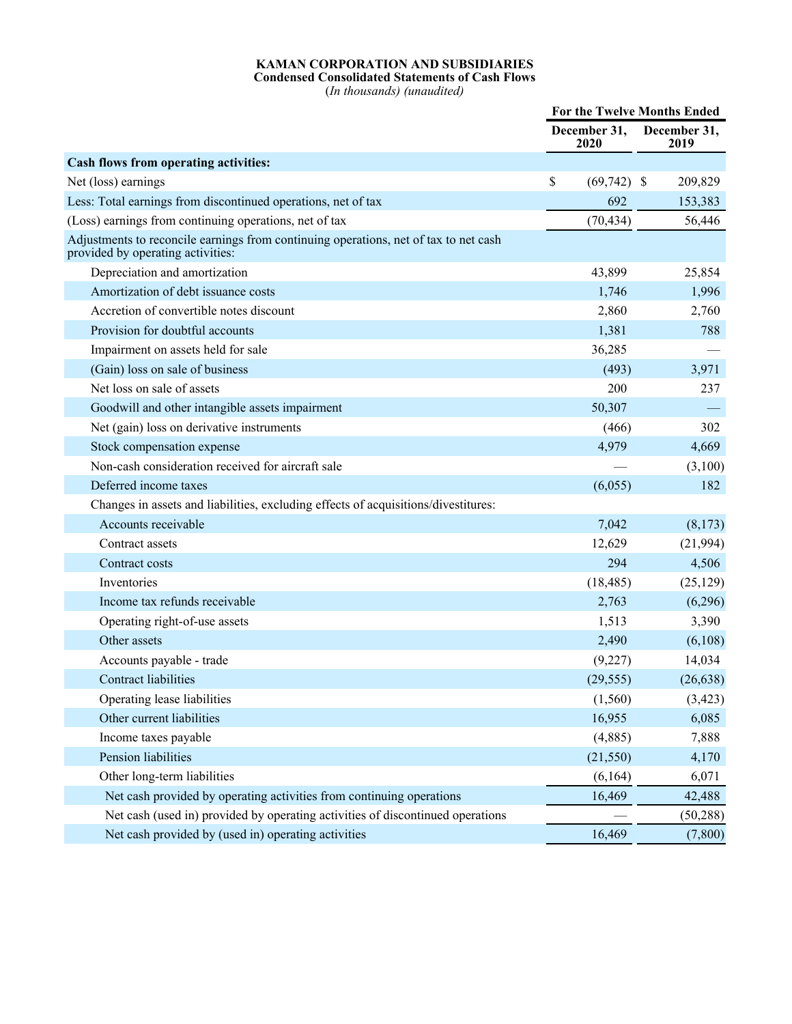#### **KAMAN CORPORATION AND SUBSIDIARIES Condensed Consolidated Statements of Cash Flows**

(*In thousands) (unaudited)*

|                                                                                                                           | For the Twelve Months Ended |                      |  |                      |
|---------------------------------------------------------------------------------------------------------------------------|-----------------------------|----------------------|--|----------------------|
|                                                                                                                           |                             | December 31,<br>2020 |  | December 31,<br>2019 |
| Cash flows from operating activities:                                                                                     |                             |                      |  |                      |
| Net (loss) earnings                                                                                                       | \$                          | $(69,742)$ \$        |  | 209,829              |
| Less: Total earnings from discontinued operations, net of tax                                                             |                             | 692                  |  | 153,383              |
| (Loss) earnings from continuing operations, net of tax                                                                    |                             | (70, 434)            |  | 56,446               |
| Adjustments to reconcile earnings from continuing operations, net of tax to net cash<br>provided by operating activities: |                             |                      |  |                      |
| Depreciation and amortization                                                                                             |                             | 43,899               |  | 25,854               |
| Amortization of debt issuance costs                                                                                       |                             | 1,746                |  | 1,996                |
| Accretion of convertible notes discount                                                                                   |                             | 2,860                |  | 2,760                |
| Provision for doubtful accounts                                                                                           |                             | 1,381                |  | 788                  |
| Impairment on assets held for sale                                                                                        |                             | 36,285               |  |                      |
| (Gain) loss on sale of business                                                                                           |                             | (493)                |  | 3,971                |
| Net loss on sale of assets                                                                                                |                             | 200                  |  | 237                  |
| Goodwill and other intangible assets impairment                                                                           |                             | 50,307               |  |                      |
| Net (gain) loss on derivative instruments                                                                                 |                             | (466)                |  | 302                  |
| Stock compensation expense                                                                                                |                             | 4,979                |  | 4,669                |
| Non-cash consideration received for aircraft sale                                                                         |                             |                      |  | (3,100)              |
| Deferred income taxes                                                                                                     |                             | (6,055)              |  | 182                  |
| Changes in assets and liabilities, excluding effects of acquisitions/divestitures:                                        |                             |                      |  |                      |
| Accounts receivable                                                                                                       |                             | 7,042                |  | (8,173)              |
| Contract assets                                                                                                           |                             | 12,629               |  | (21, 994)            |
| Contract costs                                                                                                            |                             | 294                  |  | 4,506                |
| Inventories                                                                                                               |                             | (18, 485)            |  | (25, 129)            |
| Income tax refunds receivable                                                                                             |                             | 2,763                |  | (6,296)              |
| Operating right-of-use assets                                                                                             |                             | 1,513                |  | 3,390                |
| Other assets                                                                                                              |                             | 2,490                |  | (6,108)              |
| Accounts payable - trade                                                                                                  |                             | (9,227)              |  | 14,034               |
| <b>Contract liabilities</b>                                                                                               |                             | (29, 555)            |  | (26, 638)            |
| Operating lease liabilities                                                                                               |                             | (1, 560)             |  | (3, 423)             |
| Other current liabilities                                                                                                 |                             | 16,955               |  | 6,085                |
| Income taxes payable                                                                                                      |                             | (4,885)              |  | 7,888                |
| Pension liabilities                                                                                                       |                             | (21, 550)            |  | 4,170                |
| Other long-term liabilities                                                                                               |                             | (6, 164)             |  | 6,071                |
| Net cash provided by operating activities from continuing operations                                                      |                             | 16,469               |  | 42,488               |
| Net cash (used in) provided by operating activities of discontinued operations                                            |                             |                      |  | (50, 288)            |
| Net cash provided by (used in) operating activities                                                                       |                             | 16,469               |  | (7,800)              |